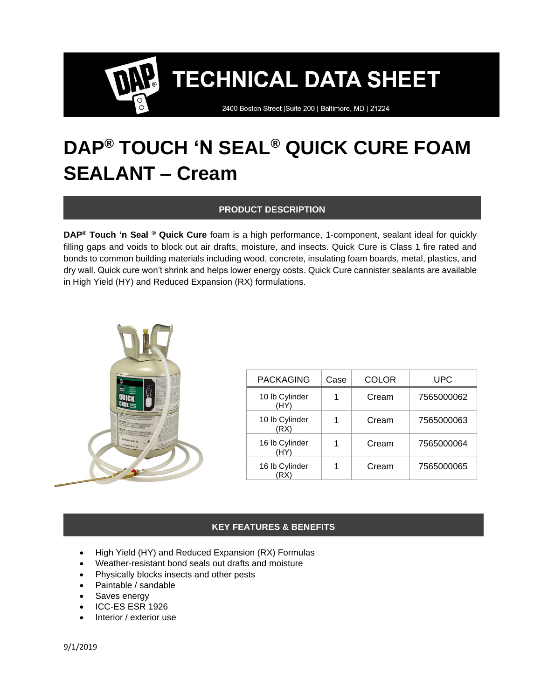2400 Boston Street | Suite 200 | Baltimore, MD | 21224

### **DAP® TOUCH 'N SEAL® QUICK CURE FOAM SEALANT – Cream**

#### **PRODUCT DESCRIPTION**

**DAP® Touch 'n Seal ® Quick Cure** foam is a high performance, 1-component, sealant ideal for quickly filling gaps and voids to block out air drafts, moisture, and insects. Quick Cure is Class 1 fire rated and bonds to common building materials including wood, concrete, insulating foam boards, metal, plastics, and dry wall. Quick cure won't shrink and helps lower energy costs. Quick Cure cannister sealants are available in High Yield (HY) and Reduced Expansion (RX) formulations.



| <b>PACKAGING</b>       | Case | <b>COLOR</b> | <b>UPC</b> |
|------------------------|------|--------------|------------|
| 10 lb Cylinder<br>(HY) |      | Cream        | 7565000062 |
| 10 lb Cylinder<br>(RX) |      | Cream        | 7565000063 |
| 16 lb Cylinder<br>(HY) |      | Cream        | 7565000064 |
| 16 lb Cylinder         |      | Cream        | 7565000065 |

#### **KEY FEATURES & BENEFITS**

- High Yield (HY) and Reduced Expansion (RX) Formulas
- Weather-resistant bond seals out drafts and moisture
- Physically blocks insects and other pests
- Paintable / sandable
- Saves energy
- ICC-ES ESR 1926
- Interior / exterior use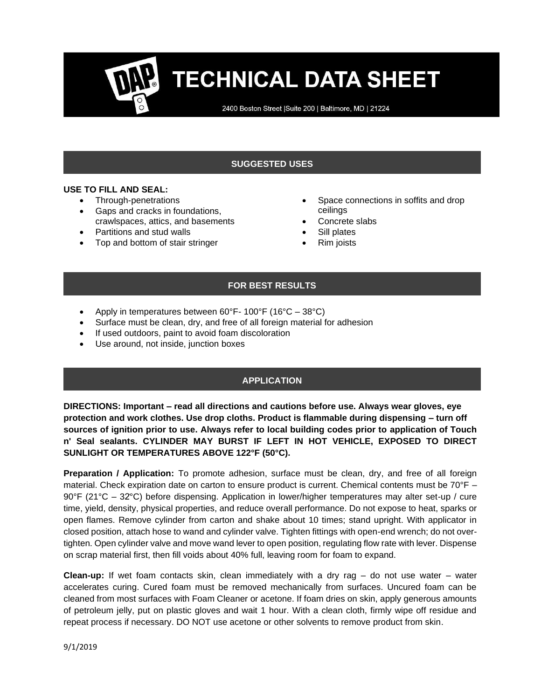2400 Boston Street | Suite 200 | Baltimore, MD | 21224

### **SUGGESTED USES**

#### **USE TO FILL AND SEAL:**

- Through-penetrations
- Gaps and cracks in foundations, crawlspaces, attics, and basements
- Partitions and stud walls
- Top and bottom of stair stringer
- Space connections in soffits and drop ceilings
- Concrete slabs
- Sill plates
- Rim joists

#### **FOR BEST RESULTS**

- Apply in temperatures between  $60^{\circ}$ F- 100°F (16°C 38°C)
- Surface must be clean, dry, and free of all foreign material for adhesion
- If used outdoors, paint to avoid foam discoloration
- Use around, not inside, junction boxes

#### **APPLICATION**

**DIRECTIONS: Important – read all directions and cautions before use. Always wear gloves, eye protection and work clothes. Use drop cloths. Product is flammable during dispensing – turn off sources of ignition prior to use. Always refer to local building codes prior to application of Touch n' Seal sealants. CYLINDER MAY BURST IF LEFT IN HOT VEHICLE, EXPOSED TO DIRECT SUNLIGHT OR TEMPERATURES ABOVE 122°F (50°C).**

**Preparation / Application:** To promote adhesion, surface must be clean, dry, and free of all foreign material. Check expiration date on carton to ensure product is current. Chemical contents must be 70°F – 90°F (21°C – 32ׄ°C) before dispensing. Application in lower/higher temperatures may alter set-up / cure time, yield, density, physical properties, and reduce overall performance. Do not expose to heat, sparks or open flames. Remove cylinder from carton and shake about 10 times; stand upright. With applicator in closed position, attach hose to wand and cylinder valve. Tighten fittings with open-end wrench; do not overtighten. Open cylinder valve and move wand lever to open position, regulating flow rate with lever. Dispense on scrap material first, then fill voids about 40% full, leaving room for foam to expand.

**Clean-up:** If wet foam contacts skin, clean immediately with a dry rag – do not use water – water accelerates curing. Cured foam must be removed mechanically from surfaces. Uncured foam can be cleaned from most surfaces with Foam Cleaner or acetone. If foam dries on skin, apply generous amounts of petroleum jelly, put on plastic gloves and wait 1 hour. With a clean cloth, firmly wipe off residue and repeat process if necessary. DO NOT use acetone or other solvents to remove product from skin.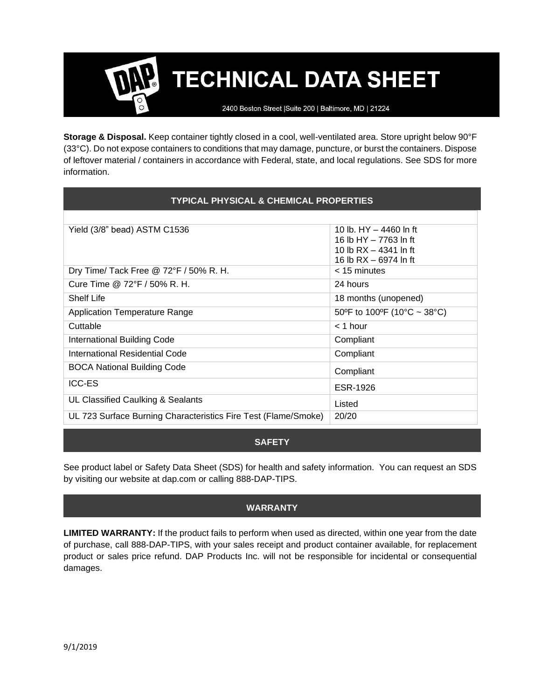2400 Boston Street | Suite 200 | Baltimore, MD | 21224

**Storage & Disposal.** Keep container tightly closed in a cool, well-ventilated area. Store upright below 90°F (33°C). Do not expose containers to conditions that may damage, puncture, or burst the containers. Dispose of leftover material / containers in accordance with Federal, state, and local regulations. See SDS for more information.

#### **TYPICAL PHYSICAL & CHEMICAL PROPERTIES**

| 10 lb. $HY - 4460$ ln ft    |
|-----------------------------|
| 16 lb HY - 7763 ln ft       |
| 10 lb $RX - 4341$ ln ft     |
| 16 lb $RX - 6974$ ln ft     |
| $<$ 15 minutes              |
| 24 hours                    |
| 18 months (unopened)        |
| 50°F to 100°F (10°C ~ 38°C) |
| $<$ 1 hour                  |
| Compliant                   |
| Compliant                   |
| Compliant                   |
|                             |
| ESR-1926                    |
| Listed                      |
| 20/20                       |
|                             |

#### **SAFETY**

See product label or Safety Data Sheet (SDS) for health and safety information. You can request an SDS by visiting our website at dap.com or calling 888-DAP-TIPS.

#### **WARRANTY**

**LIMITED WARRANTY:** If the product fails to perform when used as directed, within one year from the date of purchase, call 888-DAP-TIPS, with your sales receipt and product container available, for replacement product or sales price refund. DAP Products Inc. will not be responsible for incidental or consequential damages.